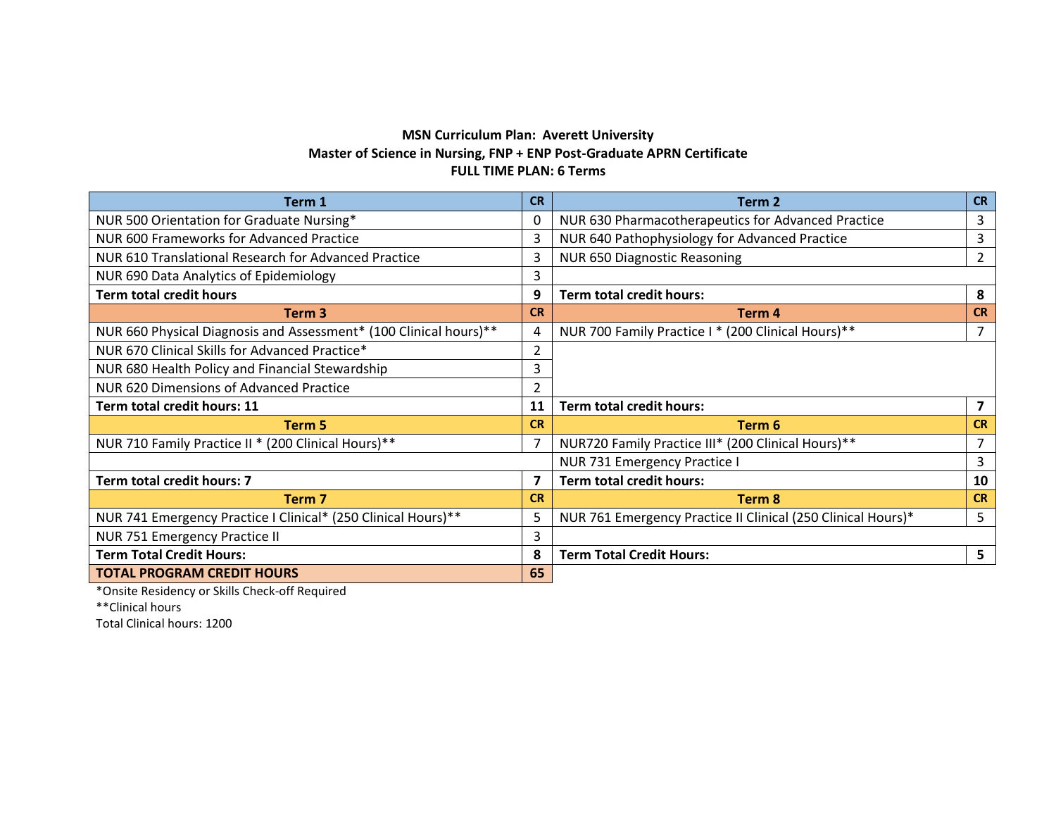## **MSN Curriculum Plan: Averett University Master of Science in Nursing, FNP + ENP Post-Graduate APRN Certificate FULL TIME PLAN: 6 Terms**

| Term 1                                                            | <b>CR</b>      | Term 2                                                       | <b>CR</b>      |
|-------------------------------------------------------------------|----------------|--------------------------------------------------------------|----------------|
| NUR 500 Orientation for Graduate Nursing*                         | 0              | NUR 630 Pharmacotherapeutics for Advanced Practice           | 3              |
| NUR 600 Frameworks for Advanced Practice                          | 3              | NUR 640 Pathophysiology for Advanced Practice                | 3              |
| NUR 610 Translational Research for Advanced Practice              | 3              | NUR 650 Diagnostic Reasoning                                 | $\overline{2}$ |
| NUR 690 Data Analytics of Epidemiology                            | 3              |                                                              |                |
| <b>Term total credit hours</b>                                    | 9              | <b>Term total credit hours:</b>                              | 8              |
| Term 3                                                            | <b>CR</b>      | Term 4                                                       | <b>CR</b>      |
| NUR 660 Physical Diagnosis and Assessment* (100 Clinical hours)** | 4              | NUR 700 Family Practice I * (200 Clinical Hours)**           |                |
| NUR 670 Clinical Skills for Advanced Practice*                    | $\overline{2}$ |                                                              |                |
| NUR 680 Health Policy and Financial Stewardship                   | 3              |                                                              |                |
| NUR 620 Dimensions of Advanced Practice                           |                |                                                              |                |
| Term total credit hours: 11                                       | 11             | <b>Term total credit hours:</b>                              |                |
| Term 5                                                            | <b>CR</b>      | Term 6                                                       | <b>CR</b>      |
| NUR 710 Family Practice II * (200 Clinical Hours)**               | $\overline{7}$ | NUR720 Family Practice III* (200 Clinical Hours)**           |                |
|                                                                   |                | NUR 731 Emergency Practice I                                 | 3              |
| Term total credit hours: 7                                        | $\overline{7}$ | Term total credit hours:                                     | 10             |
| <b>Term 7</b>                                                     | <b>CR</b>      | Term 8                                                       | <b>CR</b>      |
| NUR 741 Emergency Practice I Clinical* (250 Clinical Hours)**     | 5              | NUR 761 Emergency Practice II Clinical (250 Clinical Hours)* | 5              |
| NUR 751 Emergency Practice II                                     | 3              |                                                              |                |
| <b>Term Total Credit Hours:</b>                                   | 8              | <b>Term Total Credit Hours:</b>                              | 5 <sup>5</sup> |
| <b>TOTAL PROGRAM CREDIT HOURS</b>                                 | 65             |                                                              |                |

\*Onsite Residency or Skills Check-off Required

\*\*Clinical hours

Total Clinical hours: 1200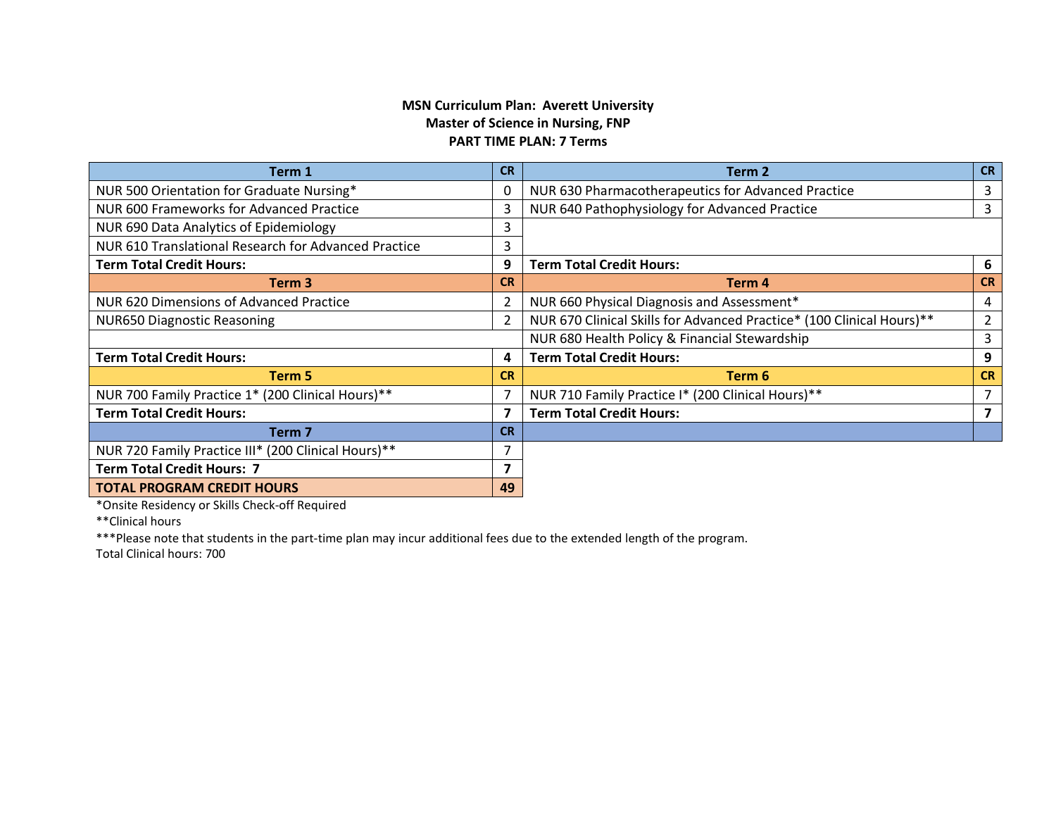## **MSN Curriculum Plan: Averett University Master of Science in Nursing, FNP PART TIME PLAN: 7 Terms**

| Term 1                                               | <b>CR</b>      | Term 2                                                                | <b>CR</b>      |
|------------------------------------------------------|----------------|-----------------------------------------------------------------------|----------------|
| NUR 500 Orientation for Graduate Nursing*            | $\mathbf 0$    | NUR 630 Pharmacotherapeutics for Advanced Practice                    | 3              |
| NUR 600 Frameworks for Advanced Practice             | 3              | NUR 640 Pathophysiology for Advanced Practice                         | 3              |
| NUR 690 Data Analytics of Epidemiology               | 3              |                                                                       |                |
| NUR 610 Translational Research for Advanced Practice | 3              |                                                                       |                |
| <b>Term Total Credit Hours:</b>                      | 9              | <b>Term Total Credit Hours:</b>                                       | 6              |
| Term 3                                               | <b>CR</b>      | Term 4                                                                | <b>CR</b>      |
| NUR 620 Dimensions of Advanced Practice              | $\overline{2}$ | NUR 660 Physical Diagnosis and Assessment*                            | 4              |
| <b>NUR650 Diagnostic Reasoning</b>                   | $\overline{2}$ | NUR 670 Clinical Skills for Advanced Practice* (100 Clinical Hours)** | $\overline{2}$ |
|                                                      |                | NUR 680 Health Policy & Financial Stewardship                         | 3              |
| <b>Term Total Credit Hours:</b>                      | 4              | <b>Term Total Credit Hours:</b>                                       | 9              |
| Term 5                                               | <b>CR</b>      | Term 6                                                                | <b>CR</b>      |
| NUR 700 Family Practice 1* (200 Clinical Hours)**    | 7              | NUR 710 Family Practice I* (200 Clinical Hours)**                     | $\overline{7}$ |
| <b>Term Total Credit Hours:</b>                      | 7              | <b>Term Total Credit Hours:</b>                                       | 7              |
| Term <sub>7</sub>                                    | <b>CR</b>      |                                                                       |                |
| NUR 720 Family Practice III* (200 Clinical Hours)**  | 7              |                                                                       |                |
| <b>Term Total Credit Hours: 7</b>                    | 7              |                                                                       |                |
| <b>TOTAL PROGRAM CREDIT HOURS</b>                    | 49             |                                                                       |                |

\*Onsite Residency or Skills Check-off Required

\*\*Clinical hours

\*\*\*Please note that students in the part-time plan may incur additional fees due to the extended length of the program.

Total Clinical hours: 700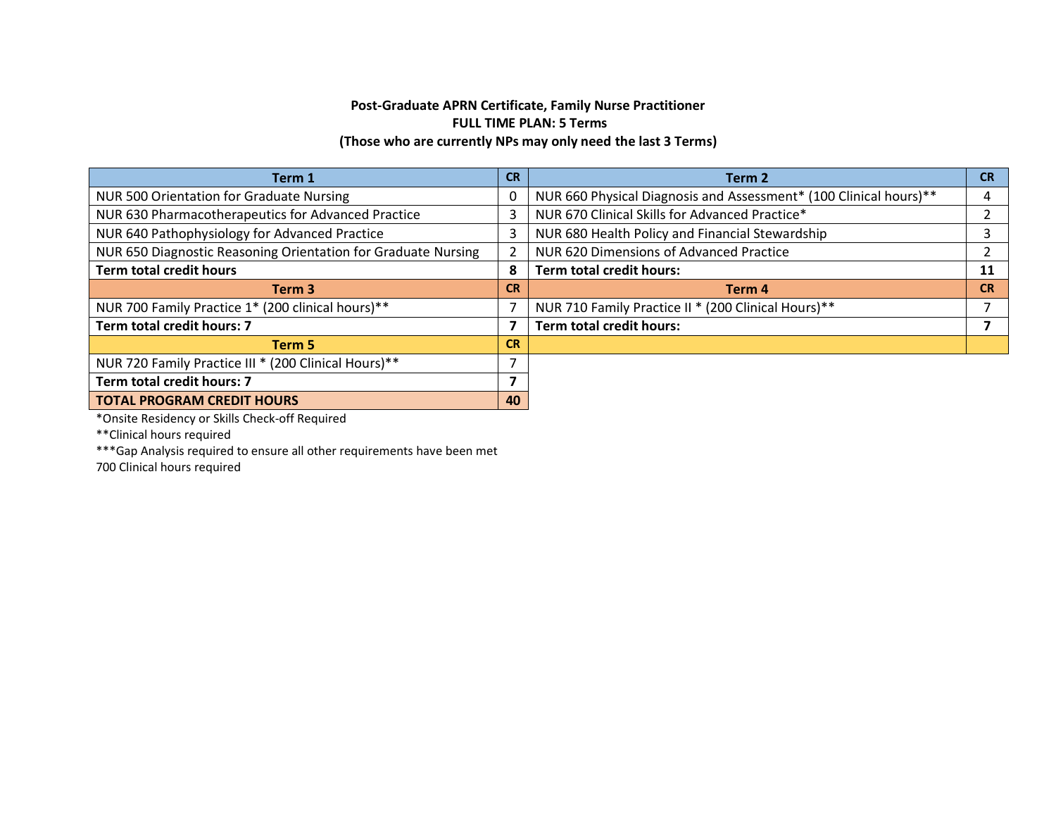## **Post-Graduate APRN Certificate, Family Nurse Practitioner FULL TIME PLAN: 5 Terms (Those who are currently NPs may only need the last 3 Terms)**

| Term 1                                                        | <b>CR</b>      | Term 2                                                            | <b>CR</b> |
|---------------------------------------------------------------|----------------|-------------------------------------------------------------------|-----------|
| NUR 500 Orientation for Graduate Nursing                      | 0              | NUR 660 Physical Diagnosis and Assessment* (100 Clinical hours)** | 4         |
| NUR 630 Pharmacotherapeutics for Advanced Practice            | 3              | NUR 670 Clinical Skills for Advanced Practice*                    |           |
| NUR 640 Pathophysiology for Advanced Practice                 | 3              | NUR 680 Health Policy and Financial Stewardship                   | 3         |
| NUR 650 Diagnostic Reasoning Orientation for Graduate Nursing | $\overline{2}$ | NUR 620 Dimensions of Advanced Practice                           |           |
| <b>Term total credit hours</b>                                | 8              | <b>Term total credit hours:</b>                                   | 11        |
| Term <sub>3</sub>                                             | <b>CR</b>      | Term 4                                                            | <b>CR</b> |
| NUR 700 Family Practice 1* (200 clinical hours) **            | 7              | NUR 710 Family Practice II * (200 Clinical Hours)**               |           |
| Term total credit hours: 7                                    |                | <b>Term total credit hours:</b>                                   |           |
| Term 5                                                        | <b>CR</b>      |                                                                   |           |
| NUR 720 Family Practice III * (200 Clinical Hours)**          | $\overline{ }$ |                                                                   |           |
| Term total credit hours: 7                                    | 7              |                                                                   |           |
| <b>TOTAL PROGRAM CREDIT HOURS</b>                             | 40             |                                                                   |           |

\*Onsite Residency or Skills Check-off Required

\*\*Clinical hours required

\*\*\*Gap Analysis required to ensure all other requirements have been met

700 Clinical hours required